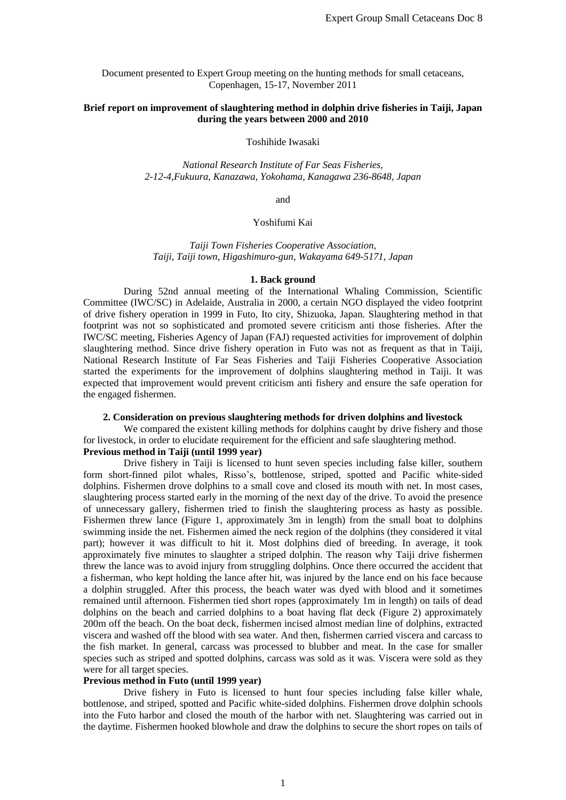Document presented to Expert Group meeting on the hunting methods for small cetaceans, Copenhagen, 15-17, November 2011

### **Brief report on improvement of slaughtering method in dolphin drive fisheries in Taiji, Japan during the years between 2000 and 2010**

Toshihide Iwasaki

*National Research Institute of Far Seas Fisheries, 2-12-4,Fukuura, Kanazawa, Yokohama, Kanagawa 236-8648, Japan*

and

### Yoshifumi Kai

*Taiji Town Fisheries Cooperative Association, Taiji, Taiji town, Higashimuro-gun, Wakayama 649-5171, Japan*

#### **1. Back ground**

During 52nd annual meeting of the International Whaling Commission, Scientific Committee (IWC/SC) in Adelaide, Australia in 2000, a certain NGO displayed the video footprint of drive fishery operation in 1999 in Futo, Ito city, Shizuoka, Japan. Slaughtering method in that footprint was not so sophisticated and promoted severe criticism anti those fisheries. After the IWC/SC meeting, Fisheries Agency of Japan (FAJ) requested activities for improvement of dolphin slaughtering method. Since drive fishery operation in Futo was not as frequent as that in Taiji, National Research Institute of Far Seas Fisheries and Taiji Fisheries Cooperative Association started the experiments for the improvement of dolphins slaughtering method in Taiji. It was expected that improvement would prevent criticism anti fishery and ensure the safe operation for the engaged fishermen.

### **2. Consideration on previous slaughtering methods for driven dolphins and livestock**

We compared the existent killing methods for dolphins caught by drive fishery and those for livestock, in order to elucidate requirement for the efficient and safe slaughtering method. **Previous method in Taiji (until 1999 year)**

Drive fishery in Taiji is licensed to hunt seven species including false killer, southern form short-finned pilot whales, Risso's, bottlenose, striped, spotted and Pacific white-sided dolphins. Fishermen drove dolphins to a small cove and closed its mouth with net. In most cases, slaughtering process started early in the morning of the next day of the drive. To avoid the presence of unnecessary gallery, fishermen tried to finish the slaughtering process as hasty as possible. Fishermen threw lance (Figure 1, approximately 3m in length) from the small boat to dolphins swimming inside the net. Fishermen aimed the neck region of the dolphins (they considered it vital part); however it was difficult to hit it. Most dolphins died of breeding. In average, it took approximately five minutes to slaughter a striped dolphin. The reason why Taiji drive fishermen threw the lance was to avoid injury from struggling dolphins. Once there occurred the accident that a fisherman, who kept holding the lance after hit, was injured by the lance end on his face because a dolphin struggled. After this process, the beach water was dyed with blood and it sometimes remained until afternoon. Fishermen tied short ropes (approximately 1m in length) on tails of dead dolphins on the beach and carried dolphins to a boat having flat deck (Figure 2) approximately 200m off the beach. On the boat deck, fishermen incised almost median line of dolphins, extracted viscera and washed off the blood with sea water. And then, fishermen carried viscera and carcass to the fish market. In general, carcass was processed to blubber and meat. In the case for smaller species such as striped and spotted dolphins, carcass was sold as it was. Viscera were sold as they were for all target species.

### **Previous method in Futo (until 1999 year)**

Drive fishery in Futo is licensed to hunt four species including false killer whale, bottlenose, and striped, spotted and Pacific white-sided dolphins. Fishermen drove dolphin schools into the Futo harbor and closed the mouth of the harbor with net. Slaughtering was carried out in the daytime. Fishermen hooked blowhole and draw the dolphins to secure the short ropes on tails of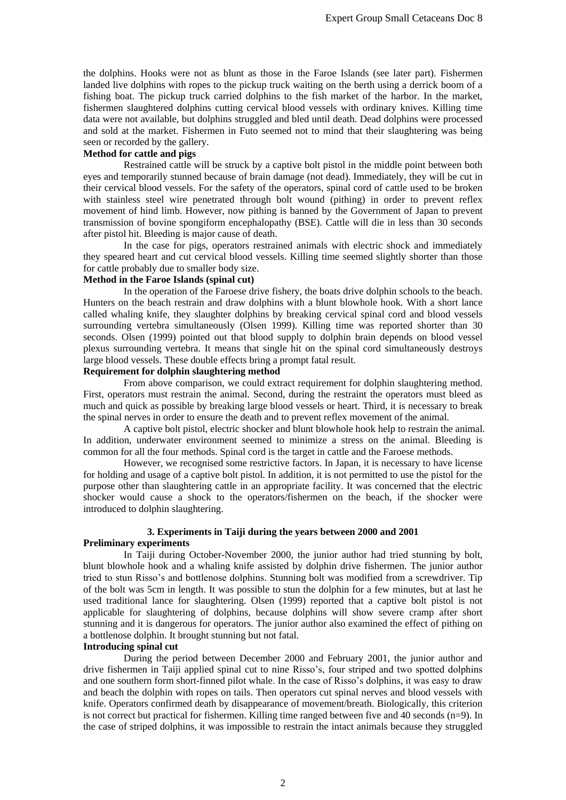the dolphins. Hooks were not as blunt as those in the Faroe Islands (see later part). Fishermen landed live dolphins with ropes to the pickup truck waiting on the berth using a derrick boom of a fishing boat. The pickup truck carried dolphins to the fish market of the harbor. In the market, fishermen slaughtered dolphins cutting cervical blood vessels with ordinary knives. Killing time data were not available, but dolphins struggled and bled until death. Dead dolphins were processed and sold at the market. Fishermen in Futo seemed not to mind that their slaughtering was being seen or recorded by the gallery.

# **Method for cattle and pigs**

Restrained cattle will be struck by a captive bolt pistol in the middle point between both eyes and temporarily stunned because of brain damage (not dead). Immediately, they will be cut in their cervical blood vessels. For the safety of the operators, spinal cord of cattle used to be broken with stainless steel wire penetrated through bolt wound (pithing) in order to prevent reflex movement of hind limb. However, now pithing is banned by the Government of Japan to prevent transmission of bovine spongiform encephalopathy (BSE). Cattle will die in less than 30 seconds after pistol hit. Bleeding is major cause of death.

In the case for pigs, operators restrained animals with electric shock and immediately they speared heart and cut cervical blood vessels. Killing time seemed slightly shorter than those for cattle probably due to smaller body size.

## **Method in the Faroe Islands (spinal cut)**

In the operation of the Faroese drive fishery, the boats drive dolphin schools to the beach. Hunters on the beach restrain and draw dolphins with a blunt blowhole hook. With a short lance called whaling knife, they slaughter dolphins by breaking cervical spinal cord and blood vessels surrounding vertebra simultaneously (Olsen 1999). Killing time was reported shorter than 30 seconds. Olsen (1999) pointed out that blood supply to dolphin brain depends on blood vessel plexus surrounding vertebra. It means that single hit on the spinal cord simultaneously destroys large blood vessels. These double effects bring a prompt fatal result.

### **Requirement for dolphin slaughtering method**

From above comparison, we could extract requirement for dolphin slaughtering method. First, operators must restrain the animal. Second, during the restraint the operators must bleed as much and quick as possible by breaking large blood vessels or heart. Third, it is necessary to break the spinal nerves in order to ensure the death and to prevent reflex movement of the animal.

A captive bolt pistol, electric shocker and blunt blowhole hook help to restrain the animal. In addition, underwater environment seemed to minimize a stress on the animal. Bleeding is common for all the four methods. Spinal cord is the target in cattle and the Faroese methods.

However, we recognised some restrictive factors. In Japan, it is necessary to have license for holding and usage of a captive bolt pistol. In addition, it is not permitted to use the pistol for the purpose other than slaughtering cattle in an appropriate facility. It was concerned that the electric shocker would cause a shock to the operators/fishermen on the beach, if the shocker were introduced to dolphin slaughtering.

# **3. Experiments in Taiji during the years between 2000 and 2001**

### **Preliminary experiments**

In Taiji during October-November 2000, the junior author had tried stunning by bolt, blunt blowhole hook and a whaling knife assisted by dolphin drive fishermen. The junior author tried to stun Risso's and bottlenose dolphins. Stunning bolt was modified from a screwdriver. Tip of the bolt was 5cm in length. It was possible to stun the dolphin for a few minutes, but at last he used traditional lance for slaughtering. Olsen (1999) reported that a captive bolt pistol is not applicable for slaughtering of dolphins, because dolphins will show severe cramp after short stunning and it is dangerous for operators. The junior author also examined the effect of pithing on a bottlenose dolphin. It brought stunning but not fatal.

### **Introducing spinal cut**

During the period between December 2000 and February 2001, the junior author and drive fishermen in Taiji applied spinal cut to nine Risso's, four striped and two spotted dolphins and one southern form short-finned pilot whale. In the case of Risso's dolphins, it was easy to draw and beach the dolphin with ropes on tails. Then operators cut spinal nerves and blood vessels with knife. Operators confirmed death by disappearance of movement/breath. Biologically, this criterion is not correct but practical for fishermen. Killing time ranged between five and 40 seconds (n=9). In the case of striped dolphins, it was impossible to restrain the intact animals because they struggled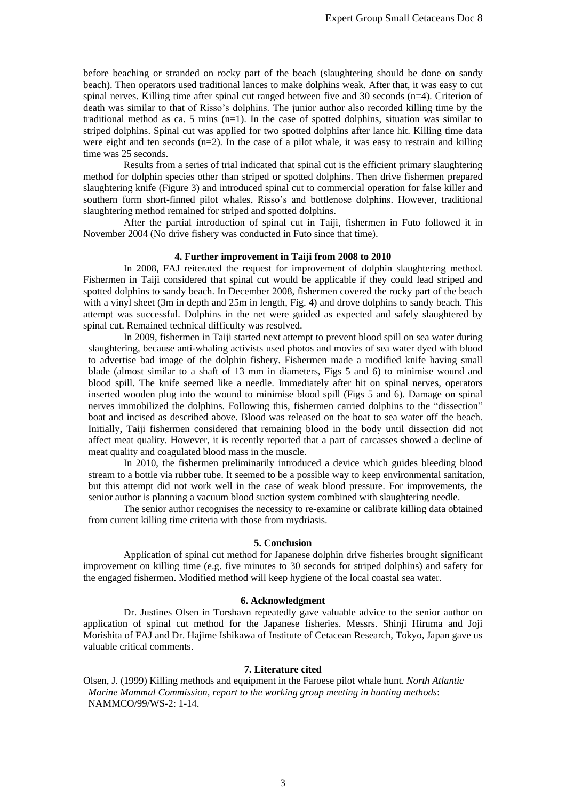before beaching or stranded on rocky part of the beach (slaughtering should be done on sandy beach). Then operators used traditional lances to make dolphins weak. After that, it was easy to cut spinal nerves. Killing time after spinal cut ranged between five and 30 seconds (n=4). Criterion of death was similar to that of Risso's dolphins. The junior author also recorded killing time by the traditional method as ca. 5 mins  $(n=1)$ . In the case of spotted dolphins, situation was similar to striped dolphins. Spinal cut was applied for two spotted dolphins after lance hit. Killing time data were eight and ten seconds  $(n=2)$ . In the case of a pilot whale, it was easy to restrain and killing time was 25 seconds.

Results from a series of trial indicated that spinal cut is the efficient primary slaughtering method for dolphin species other than striped or spotted dolphins. Then drive fishermen prepared slaughtering knife (Figure 3) and introduced spinal cut to commercial operation for false killer and southern form short-finned pilot whales, Risso's and bottlenose dolphins. However, traditional slaughtering method remained for striped and spotted dolphins.

After the partial introduction of spinal cut in Taiji, fishermen in Futo followed it in November 2004 (No drive fishery was conducted in Futo since that time).

## **4. Further improvement in Taiji from 2008 to 2010**

In 2008, FAJ reiterated the request for improvement of dolphin slaughtering method. Fishermen in Taiji considered that spinal cut would be applicable if they could lead striped and spotted dolphins to sandy beach. In December 2008, fishermen covered the rocky part of the beach with a vinyl sheet (3m in depth and 25m in length, Fig. 4) and drove dolphins to sandy beach. This attempt was successful. Dolphins in the net were guided as expected and safely slaughtered by spinal cut. Remained technical difficulty was resolved.

In 2009, fishermen in Taiji started next attempt to prevent blood spill on sea water during slaughtering, because anti-whaling activists used photos and movies of sea water dyed with blood to advertise bad image of the dolphin fishery. Fishermen made a modified knife having small blade (almost similar to a shaft of 13 mm in diameters, Figs 5 and 6) to minimise wound and blood spill. The knife seemed like a needle. Immediately after hit on spinal nerves, operators inserted wooden plug into the wound to minimise blood spill (Figs 5 and 6). Damage on spinal nerves immobilized the dolphins. Following this, fishermen carried dolphins to the "dissection" boat and incised as described above. Blood was released on the boat to sea water off the beach. Initially, Taiji fishermen considered that remaining blood in the body until dissection did not affect meat quality. However, it is recently reported that a part of carcasses showed a decline of meat quality and coagulated blood mass in the muscle.

In 2010, the fishermen preliminarily introduced a device which guides bleeding blood stream to a bottle via rubber tube. It seemed to be a possible way to keep environmental sanitation, but this attempt did not work well in the case of weak blood pressure. For improvements, the senior author is planning a vacuum blood suction system combined with slaughtering needle.

The senior author recognises the necessity to re-examine or calibrate killing data obtained from current killing time criteria with those from mydriasis.

#### **5. Conclusion**

Application of spinal cut method for Japanese dolphin drive fisheries brought significant improvement on killing time (e.g. five minutes to 30 seconds for striped dolphins) and safety for the engaged fishermen. Modified method will keep hygiene of the local coastal sea water.

### **6. Acknowledgment**

Dr. Justines Olsen in Torshavn repeatedly gave valuable advice to the senior author on application of spinal cut method for the Japanese fisheries. Messrs. Shinji Hiruma and Joji Morishita of FAJ and Dr. Hajime Ishikawa of Institute of Cetacean Research, Tokyo, Japan gave us valuable critical comments.

### **7. Literature cited**

Olsen, J. (1999) Killing methods and equipment in the Faroese pilot whale hunt. *North Atlantic Marine Mammal Commission, report to the working group meeting in hunting methods*: NAMMCO/99/WS-2: 1-14.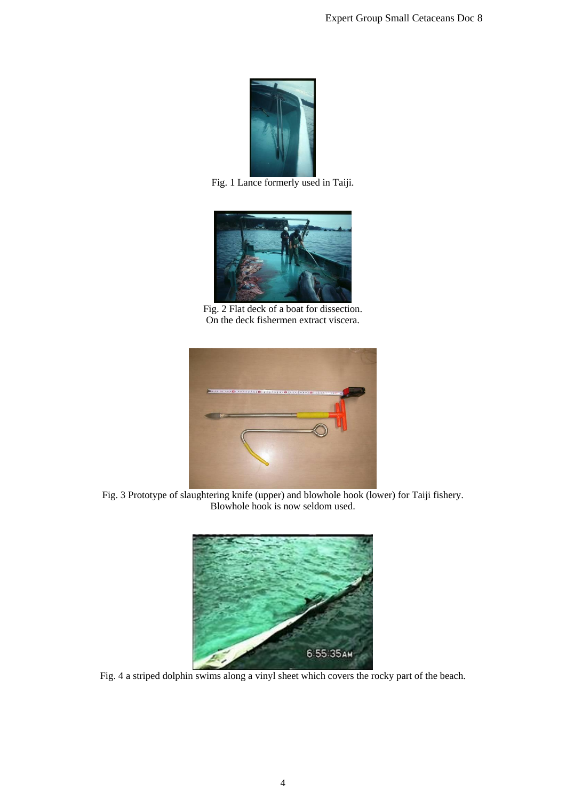

Fig. 1 Lance formerly used in Taiji.



Fig. 2 Flat deck of a boat for dissection. On the deck fishermen extract viscera.



Fig. 3 Prototype of slaughtering knife (upper) and blowhole hook (lower) for Taiji fishery. Blowhole hook is now seldom used.



Fig. 4 a striped dolphin swims along a vinyl sheet which covers the rocky part of the beach.